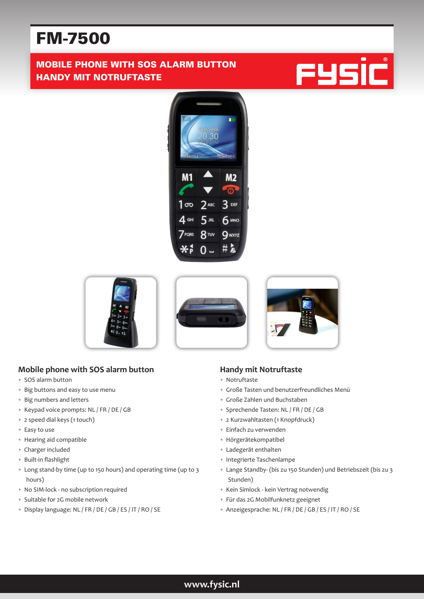# FM-7500

# MOBILE PHONE WITH SOS ALARM BUTTON HANDY MIT NOTRUFTASTE











## **Mobile phone with SOS alarm button**

- SOS alarm button
- Big buttons and easy to use menu
- Big numbers and letters
- Keypad voice prompts: NL / FR / DE / GB
- 2 speed dial keys (1 touch)
- Easy to use
- Hearing aid compatible
- Charger included
- Built-in flashlight
- Long stand-by time (up to 150 hours) and operating time (up to 3 hours)
- No SIM-lock no subscription required
- Suitable for 2G mobile network
- Display language: NL / FR / DE / GB / ES / IT / RO / SE

#### **Handy mit Notruftaste**

- Notruftaste
- Große Tasten und benutzerfreundliches Menü
- Große Zahlen und Buchstaben
- Sprechende Tasten: NL / FR / DE / GB
- 2 Kurzwahltasten (1 Knopfdruck)
- Einfach zu verwenden
- Hörgerätekompatibel
- Ladegerät enthalten
- Integrierte Taschenlampe
- Lange Standby- (bis zu 150 Stunden) und Betriebszeit (bis zu 3 Stunden)
- Kein Simlock kein Vertrag notwendig
- Für das 2G Mobilfunknetz geeignet
- Anzeigesprache: NL / FR / DE / GB / ES / IT / RO / SE

### **www.fysic.nl**